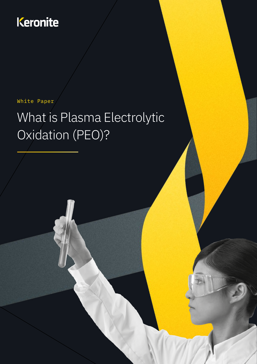# Keronite

#### White Paper

# What is Plasma Electrolytic Oxidation (PEO)?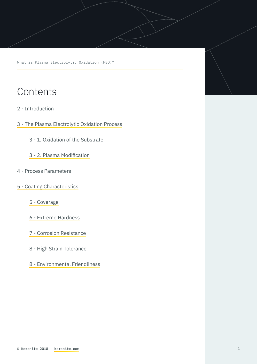What is Plasma Electrolytic Oxidation (PEO)?

## **Contents**

- [2 Introduction](#page-2-0)
- [3 The Plasma Electrolytic Oxidation Process](#page-3-0)
	- [3 1. Oxidation of the Substrate](#page-3-0)
	- [3 2. Plasma Modification](#page-3-0)
- [4 Process Parameters](#page-4-0)
- [5 Coating Characteristics](#page-5-0)
	- [5 Coverage](#page-5-0)
	- [6 Extreme Hardness](#page-6-0)
	- [7 Corrosion Resistance](#page-7-0)
	- [8 High Strain Tolerance](#page-8-0)
	- [8 Environmental Friendliness](#page-8-0)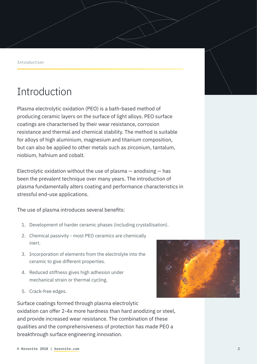<span id="page-2-0"></span>Introduction

# Introduction

Plasma electrolytic oxidation (PEO) is a bath-based method of producing ceramic layers on the surface of light alloys. PEO surface coatings are characterised by their wear resistance, corrosion resistance and thermal and chemical stability. The method is suitable for alloys of high aluminium, magnesium and titanium composition, but can also be applied to other metals such as zirconium, tantalum, niobium, hafnium and cobalt.

Electrolytic oxidation without the use of plasma  $-$  anodising  $-$  has been the prevalent technique over many years. The introduction of plasma fundamentally alters coating and performance characteristics in stressful end-use applications.

The use of plasma introduces several benefits:

- 1. Development of harder ceramic phases (including crystallisation).
- 2. Chemical passivity most PEO ceramics are chemically inert.
- 3. Incorporation of elements from the electrolyte into the ceramic to give different properties.
- 4. Reduced stiffness gives high adhesion under mechanical strain or thermal cycling.
- 5. Crack-free edges.

Surface coatings formed through plasma electrolytic oxidation can offer 2-4x more hardness than hard anodizing or steel, and provide increased wear resistance. The combination of these qualities and the comprehensiveness of protection has made PEO a breakthrough surface engineering innovation.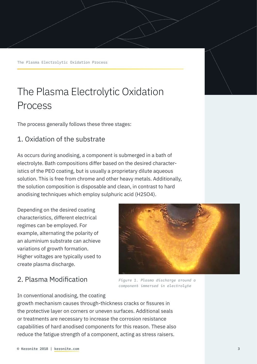<span id="page-3-0"></span>The Plasma Electrolytic Oxidation Process

# The Plasma Electrolytic Oxidation Process

The process generally follows these three stages:

#### 1. Oxidation of the substrate

As occurs during anodising, a component is submerged in a bath of electrolyte. Bath compositions differ based on the desired characteristics of the PEO coating, but is usually a proprietary dilute aqueous solution. This is free from chrome and other heavy metals. Additionally, the solution composition is disposable and clean, in contrast to hard anodising techniques which employ sulphuric acid (H2SO4).

Depending on the desired coating characteristics, different electrical regimes can be employed. For example, alternating the polarity of an aluminium substrate can achieve variations of growth formation. Higher voltages are typically used to create plasma discharge.

## 2. Plasma Modification



*Figure 1. Plasma discharge around a component immersed in electrolyte*

In conventional anodising, the coating

growth mechanism causes through-thickness cracks or fissures in the protective layer on corners or uneven surfaces. Additional seals or treatments are necessary to increase the corrosion resistance capabilities of hard anodised components for this reason. These also reduce the fatigue strength of a component, acting as stress raisers.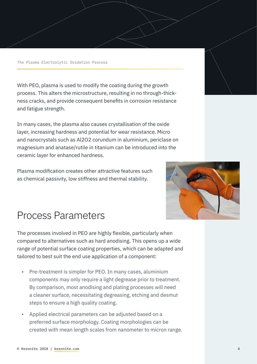<span id="page-4-0"></span>With PEO, plasma is used to modify the coating during the growth process. This alters the microstructure, resulting in no through-thickness cracks, and provide consequent benefits in corrosion resistance and fatigue strength.

In many cases, the plasma also causes crystallisation of the oxide layer, increasing hardness and potential for wear resistance. Micro and nanocrystals such as Al2O2 corundum in aluminium, periclase on magnesium and anatase/rutile in titanium can be introduced into the ceramic layer for enhanced hardness.

Plasma modification creates other attractive features such as chemical passivity, low stiffness and thermal stability.



# Process Parameters

The processes involved in PEO are highly flexible, particularly when compared to alternatives such as hard anodising. This opens up a wide range of potential surface coating properties, which can be adapted and tailored to best suit the end use application of a component:

- Pre-treatment is simpler for PEO. In many cases, aluminium components may only require a light degrease prior to treatment. By comparison, most anodising and plating processes will need a cleaner surface, necessitating degreasing, etching and desmut steps to ensure a high quality coating.
- Applied electrical parameters can be adjusted based on a preferred surface morphology. Coating morphologies can be created with mean length scales from nanometer to micron range.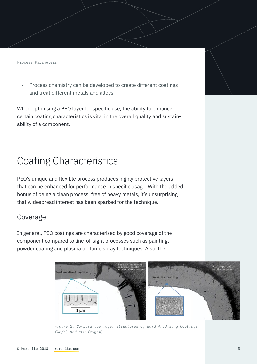<span id="page-5-0"></span>Process Parameters

• Process chemistry can be developed to create different coatings and treat different metals and alloys.

When optimising a PEO layer for specific use, the ability to enhance certain coating characteristics is vital in the overall quality and sustainability of a component.

# Coating Characteristics

PEO's unique and flexible process produces highly protective layers that can be enhanced for performance in specific usage. With the added bonus of being a clean process, free of heavy metals, it's unsurprising that widespread interest has been sparked for the technique.

### Coverage

In general, PEO coatings are characterised by good coverage of the component compared to line-of-sight processes such as painting, powder coating and plasma or flame spray techniques. Also, the



*Figure 2. Comparative layer structures of Hard Anodising Coatings (left) and PEO (right)*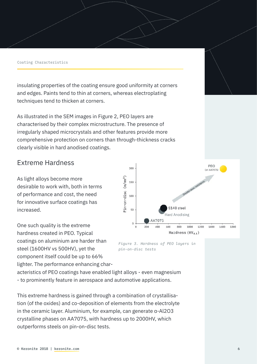#### <span id="page-6-0"></span>Coating Characteristics

insulating properties of the coating ensure good uniformity at corners and edges. Paints tend to thin at corners, whereas electroplating techniques tend to thicken at corners.

As illustrated in the SEM images in Figure 2, PEO layers are characterised by their complex microstructure. The presence of irregularly shaped microcrystals and other features provide more comprehensive protection on corners than through-thickness cracks clearly visible in hard anodised coatings.

#### Extreme Hardness

As light alloys become more desirable to work with, both in terms of performance and cost, the need for innovative surface coatings has increased.

One such quality is the extreme hardness created in PEO. Typical coatings on aluminium are harder than steel (1600HV vs 500HV), yet the component itself could be up to 66% lighter. The performance enhancing char-





acteristics of PEO coatings have enabled light alloys - even magnesium - to prominently feature in aerospace and automotive applications.

This extreme hardness is gained through a combination of crystallisation (of the oxides) and co-deposition of elements from the electrolyte in the ceramic layer. Aluminium, for example, can generate a-Al2O3 crystalline phases on AA7075, with hardness up to 2000HV, which outperforms steels on pin-on-disc tests.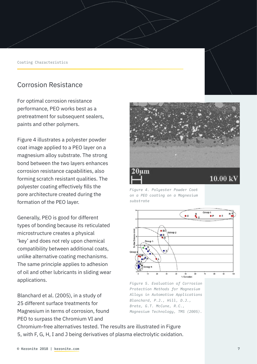<span id="page-7-0"></span>Coating Characteristics

#### Corrosion Resistance

For optimal corrosion resistance performance, PEO works best as a pretreatment for subsequent sealers, paints and other polymers.

Figure 4 illustrates a polyester powder coat image applied to a PEO layer on a magnesium alloy substrate. The strong bond between the two layers enhances corrosion resistance capabilities, also forming scratch resistant qualities. The polyester coating effectively fills the pore architecture created during the formation of the PEO layer.

Generally, PEO is good for different types of bonding because its reticulated microstructure creates a physical 'key' and does not rely upon chemical compatibility between additional coats, unlike alternative coating mechanisms. The same principle applies to adhesion of oil and other lubricants in sliding wear applications.

Blanchard et al. (2005), in a study of 25 different surface treatments for Magnesium in terms of corrosion, found PEO to surpass the Chromium VI and



*Figure 4. Polyester Powder Coat on a PEO coating on a Magnesium substrate*



*Figure 5. Evaluation of Corrosion Protection Methods for Magnesium Alloys in Automotive Applications Blanchard, P.J., Hill, D.J., Bretz, G.T. McCune, R.C., Magnesium Technology, TMS (2005).* 

Chromium-free alternatives tested. The results are illustrated in Figure 5, with F, G, H, I and J being derivatives of plasma electrolytic oxidation.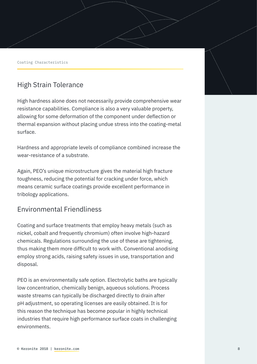<span id="page-8-0"></span>Coating Characteristics

### High Strain Tolerance

High hardness alone does not necessarily provide comprehensive wear resistance capabilities. Compliance is also a very valuable property, allowing for some deformation of the component under deflection or thermal expansion without placing undue stress into the coating-metal surface.

Hardness and appropriate levels of compliance combined increase the wear-resistance of a substrate.

Again, PEO's unique microstructure gives the material high fracture toughness, reducing the potential for cracking under force, which means ceramic surface coatings provide excellent performance in tribology applications.

#### Environmental Friendliness

Coating and surface treatments that employ heavy metals (such as nickel, cobalt and frequently chromium) often involve high-hazard chemicals. Regulations surrounding the use of these are tightening, thus making them more difficult to work with. Conventional anodising employ strong acids, raising safety issues in use, transportation and disposal.

PEO is an environmentally safe option. Electrolytic baths are typically low concentration, chemically benign, aqueous solutions. Process waste streams can typically be discharged directly to drain after pH adjustment, so operating licenses are easily obtained. It is for this reason the technique has become popular in highly technical industries that require high performance surface coats in challenging environments.